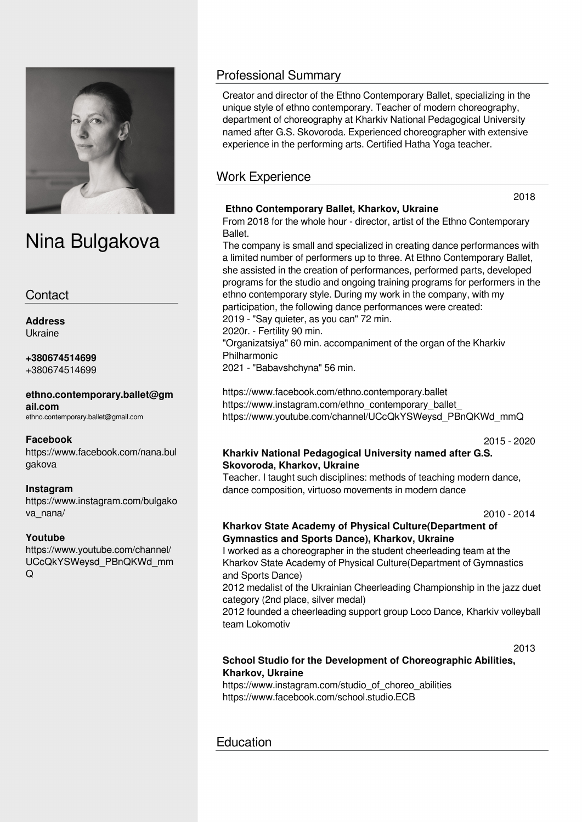

# Nina Bulgakova

## **Contact**

**Address** Ukraine

#### **+380674514699** +380674514699

**ethno.contemporary.ballet@gm ail.com** ethno.contemporary.ballet@gmail.com

**Facebook**

https://www.facebook.com/nana.bul gakova

#### **Instagram**

https://www.instagram.com/bulgako va\_nana/

#### **Youtube**

https://www.youtube.com/channel/ UCcQkYSWeysd\_PBnQKWd\_mm  $\Omega$ 

# Professional Summary

Creator and director of the Ethno Contemporary Ballet, specializing in the unique style of ethno contemporary. Teacher of modern choreography, department of choreography at Kharkiv National Pedagogical University named after G.S. Skovoroda. Experienced choreographer with extensive experience in the performing arts. Certified Hatha Yoga teacher.

# Work Experience

## **Ethno Contemporary Ballet, Kharkov, Ukraine**

From 2018 for the whole hour - director, artist of the Ethno Contemporary **Ballet** 

The company is small and specialized in creating dance performances with a limited number of performers up to three. At Ethno Contemporary Ballet, she assisted in the creation of performances, performed parts, developed programs for the studio and ongoing training programs for performers in the ethno contemporary style. During my work in the company, with my participation, the following dance performances were created: 2019 - "Say quieter, as you can" 72 min.

2020r. - Fertility 90 min.

"Organizatsiya" 60 min. accompaniment of the organ of the Kharkiv Philharmonic

2021 - "Babavshchyna" 56 min.

https://www.facebook.com/ethno.contemporary.ballet https://www.instagram.com/ethno\_contemporary\_ballet\_ https://www.youtube.com/channel/UCcQkYSWeysd\_PBnQKWd\_mmQ

2015 - 2020

#### **Kharkiv National Pedagogical University named after G.S. Skovoroda, Kharkov, Ukraine**

Teacher. I taught such disciplines: methods of teaching modern dance, dance composition, virtuoso movements in modern dance

2010 - 2014

## **Kharkov State Academy of Physical Culture(Department of Gymnastics and Sports Dance), Kharkov, Ukraine**

I worked as a choreographer in the student cheerleading team at the Kharkov State Academy of Physical Culture(Department of Gymnastics and Sports Dance)

2012 medalist of the Ukrainian Cheerleading Championship in the jazz duet category (2nd place, silver medal)

2012 founded a cheerleading support group Loco Dance, Kharkiv volleyball team Lokomotiv

2013

## **School Studio for the Development of Choreographic Abilities, Kharkov, Ukraine**

https://www.instagram.com/studio\_of\_choreo\_abilities https://www.facebook.com/school.studio.ECB

# **Education**

2018